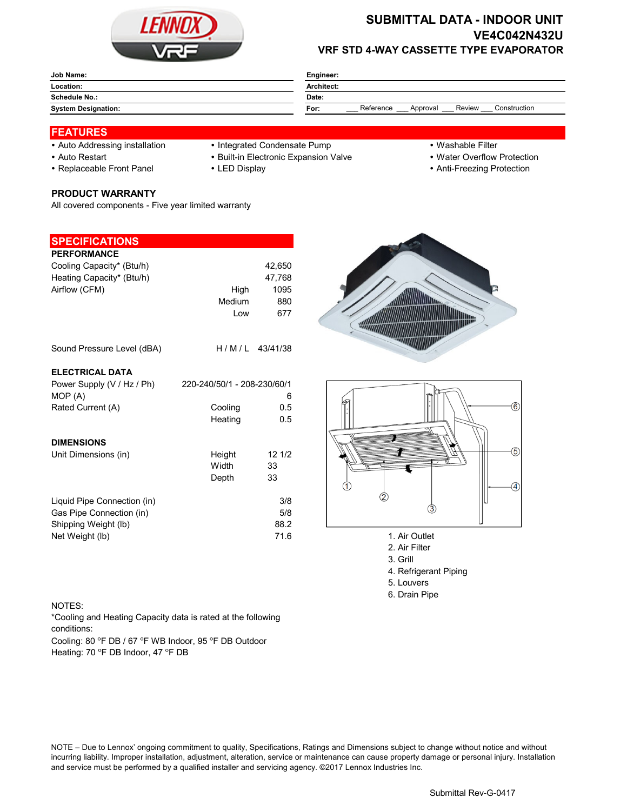

## **SUBMITTAL DATA - INDOOR UNIT VE4C042N432U VRF STD 4-WAY CASSETTE TYPE EVAPORATOR**

| Job Name:                  | Engineer:                                               |  |  |  |
|----------------------------|---------------------------------------------------------|--|--|--|
| Location:                  | Architect:                                              |  |  |  |
| <b>Schedule No.:</b>       | Date:                                                   |  |  |  |
| <b>System Designation:</b> | Reference<br>Construction<br>Review<br>Approval<br>For: |  |  |  |

### **FEATURES**

- 
- 
- 

**PRODUCT WARRANTY**

**SPECIFICATIONS**

All covered components - Five year limited warranty

# • Auto Addressing installation • Integrated Condensate Pump • Washable Filter

- Auto Restart **Built-in Electronic Expansion Valve Water Overflow Protection** 
	-
- 
- 
- Replaceable Front Panel LED Display Anti-Freezing Protection

| <b>PERFORMANCE</b><br>Cooling Capacity* (Btu/h)<br>Heating Capacity* (Btu/h)<br>Airflow (CFM) | High<br>Medium<br>Low       | 42,650<br>47,768<br>1095<br>880<br>677 |                                |
|-----------------------------------------------------------------------------------------------|-----------------------------|----------------------------------------|--------------------------------|
| Sound Pressure Level (dBA)                                                                    |                             | $H/M/L$ 43/41/38                       |                                |
| <b>ELECTRICAL DATA</b><br>Power Supply (V / Hz / Ph)                                          | 220-240/50/1 - 208-230/60/1 |                                        |                                |
| MOP (A)<br>Rated Current (A)                                                                  | Cooling<br>Heating          | 6<br>0.5<br>0.5                        |                                |
| <b>DIMENSIONS</b><br>Unit Dimensions (in)                                                     | Height<br>Width<br>Depth    | 121/2<br>33<br>33                      |                                |
| Liquid Pipe Connection (in)<br>Gas Pipe Connection (in)<br>Shipping Weight (lb)               |                             | 3/8<br>5/8<br>88.2                     | З                              |
| Net Weight (lb)                                                                               |                             | 71.6                                   | 1. Air Outlet<br>2. Air Filter |





- 
- 2. Air Filter 3. Grill
- 4. Refrigerant Piping
- 5. Louvers
- 6. Drain Pipe

#### NOTES:

\*Cooling and Heating Capacity data is rated at the following conditions:

Cooling: 80 °F DB / 67 °F WB Indoor, 95 °F DB Outdoor Heating: 70 °F DB Indoor, 47 °F DB

NOTE – Due to Lennox' ongoing commitment to quality, Specifications, Ratings and Dimensions subject to change without notice and without incurring liability. Improper installation, adjustment, alteration, service or maintenance can cause property damage or personal injury. Installation and service must be performed by a qualified installer and servicing agency. ©2017 Lennox Industries Inc.